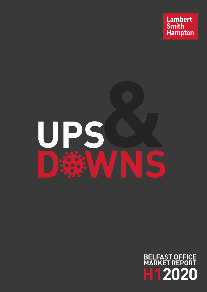



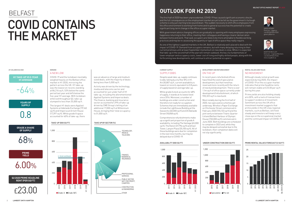

# BELFAST COVID CONTAINS THE MARKET

#### AT A GLANCE 02 2020 CHAND



MARTIN MCCLOY Director – Capital Markets +44 (0) 28 9026 9236 mmccloy@lsh.ie

GREG HENRY Director – Agency +44 (0) 28 9026 9265 ghenry@lsh.ie





COVID-19 and the lockdown inevitably weighed heavily on the Belfast office market in H1 2020, mirroring the pattern across the UK. H1 take-up was the lowest on record, standing at 86,216 sq ft, 53% below the same period last year and 64% below the five-year H1 average. With lockdown enforced throughout Q2, take-up slumped to less than 25,000 sq ft.







## A NEW LOW

In recent years refurbished offices have filled the void of speculative development, but that trend has reversed more recently with the return of new build development. There is over 1.1m sq ft of office space currently under development/refurbishment, of which  $920,322$  sq ft is new build.

The largest H1 deals were Applied Systems at Adelaide Exchange (19,160 sq ft) and Imperva at Arnott House (17,397 sq ft). While grade A space accounted for 60% of take-up, there

was an absence of large and medium sized deals, with the majority of deals being less than 5,000 sq ft.

Activity was driven by the technology, media and telecoms sector and accounted for just under half of H1 take-up, including the aforementioned Applied Systems and Imperva deals. The finance, banking and insurance sector accounted for 29% of take-up driven by CME Group's letting of an additional 17,000 sq ft at Millennium House, bringing their total occupancy to 51,000 sq ft.

### RENTAL VALUES AND YIELDS NO MOVEMENT

Although steady rental growth was expected during 2020, the impact of COVID-19 on the occupier market indicates that prime headline rents will remain stable at £23.00 per sq ft during this year.

Prime yields are also holding steady at 6.00%, with a lack of transactions to support evidence of movement. Sentiment across the UK office investment market suggests that prime yields in the UK's key regional markets, such as Belfast, will hold steady and investors will keep a very close eye on the occupational market and the continued impact of COVID-19.

## DEVELOPMENT AND REFURBISHMENT ON THE UP

Most notably during the first half of 2020, two speculative schemes got underway. Wirefox's Paper Exchange on Chichester Street commenced in February 2020 (155,133 sq ft) and the joint venture between Titanic Quarter Ltd and Belfast Harbour of Olympic House (150,000 sq ft) commenced in June 2020. Both buildings are scheduled to complete in 2022 and, while they may be delayed somewhat due to the lockdown, their completion dates will not slip significantly.

## CURRENT SUPPLY SUPPLY EBBS

Despite weak take-up, supply continues to ebb, falling by a further 8% in H1. At 430,807 sq ft, current availability is lowest on record, equivalent to 0.8 years of supply based on average take-up.

While grade A stock accounts for 68% of supply, it stands at its lowest level since 2016. Moreover, a number of buildings are under construction and therefore not ready for occupation. Schemes that are immediately available include the Lighthouse Building at the Gasworks (60,000 sq ft) and 20 Adelaide Street (18,858 sq ft).

Comprehensive refurbishments make up a significant proportion of grade A availability, including The Vantage (65,000 sq ft), The Kelvin (37,796 sq ft) and East Tower, Lanyon Plaza (35,100 sq ft). All of these buildings were due for completion in the next nine months, but may be delayed due to COVID-19.

The first half of 2020 has been unprecedented, COVID-19 has caused significant economic shocks and the full consequences on the employment market are yet to be felt as the government's furlough scheme is only just starting to be wound down. The sudden necessity to shift office employees from the office environment to working from home and its general success has the potential to create significant long-term change in the office occupier market.

With government advice changing offices are gradually re-opening with many employees expressing happiness returning to their office, meeting their colleagues and having a clearer demarcation between home and work. That said, occupiers are likely to be more amenable to flexible working practices and may be re-assessing the quantity or type of office space they really require.

As one of the tightest supplied markets in the UK, Belfast is relatively well-placed to deal with the impact of COVID-19. Demand from occupiers remains, but with many delaying returning to their current premises until at least September momentum on new deals is slow. While it is expected that take-up in the second half of the year will remain subdued, the key city fundamentals of lower employer and occupancy costs, lower cost of living and highly skilled people, along with the forthcoming new developments, will continue to attract potential occupiers.

## **OUTLOOK FOR H2 2020**

#### AVAILABILITY (000 SQ FT) UNDER CONSTRUCTION (000 SQ FT) PRIME RENTAL VALUES FORECAST (£ SQ FT)

#### TAKE-UP (000 SQ FT) TAKE UP BY SECTOR (%)

**Q2 2020 PRIME HEADLINE RENT (PER SQ FT)**

£23.00

**PRIME YIELD**

6.00%

**GRADE A SHARE OF SUPPLY**

68%

**YEARS OF SUPPLY**

0.8

**H1 TAKE-UP VS 5-YEAR H1 AVERAGE**

 $-64%$